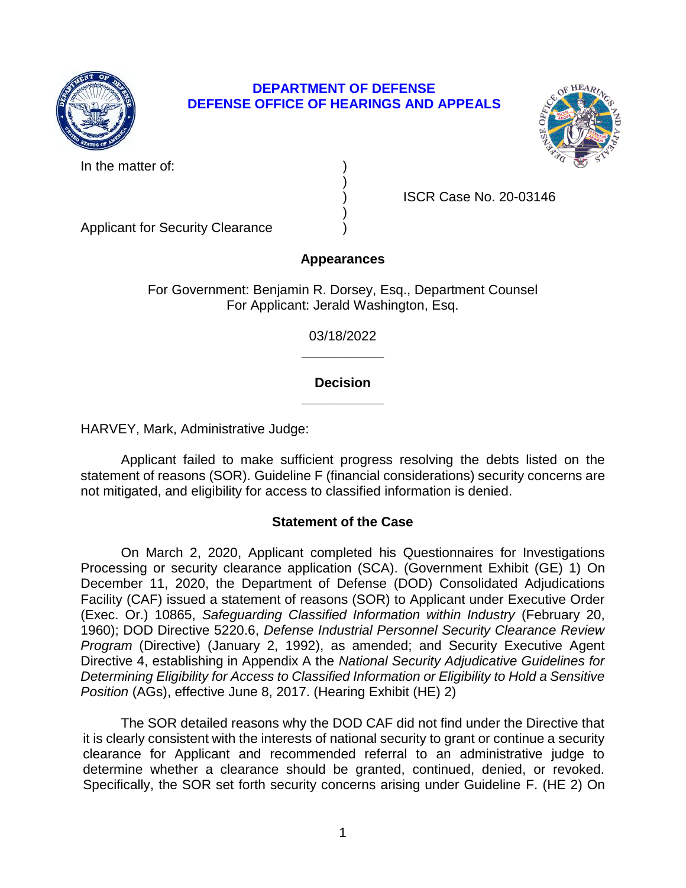

## **DEPARTMENT OF DEFENSE DEFENSE OFFICE OF HEARINGS AND APPEALS**



In the matter of:

) ISCR Case No. 20-03146

Applicant for Security Clearance )

# **Appearances**

)

)

For Government: Benjamin R. Dorsey, Esq., Department Counsel For Applicant: Jerald Washington, Esq.

> **\_\_\_\_\_\_\_\_\_\_\_**  03/18/2022

## **\_\_\_\_\_\_\_\_\_\_\_ Decision**

HARVEY, Mark, Administrative Judge:

 Applicant failed to make sufficient progress resolving the debts listed on the statement of reasons (SOR). Guideline F (financial considerations) security concerns are not mitigated, and eligibility for access to classified information is denied.

## **Statement of the Case**

 On March 2, 2020, Applicant completed his Questionnaires for Investigations Processing or security clearance application (SCA). (Government Exhibit (GE) 1) On December 11, 2020, the Department of Defense (DOD) Consolidated Adjudications Facility (CAF) issued a statement of reasons (SOR) to Applicant under Executive Order  (Exec. Or.) 10865, *Safeguarding Classified Information within Industry* (February 20, *Program* (Directive) (January 2, 1992), as amended; and Security Executive Agent Directive 4, establishing in Appendix A the *National Security Adjudicative Guidelines for Determining Eligibility for Access to Classified Information or Eligibility to Hold a Sensitive*  1960); DOD Directive 5220.6, *Defense Industrial Personnel Security Clearance Review Position* (AGs), effective June 8, 2017. (Hearing Exhibit (HE) 2)

 The SOR detailed reasons why the DOD CAF did not find under the Directive that it is clearly consistent with the interests of national security to grant or continue a security clearance for Applicant and recommended referral to an administrative judge to determine whether a clearance should be granted, continued, denied, or revoked. Specifically, the SOR set forth security concerns arising under Guideline F. (HE 2) On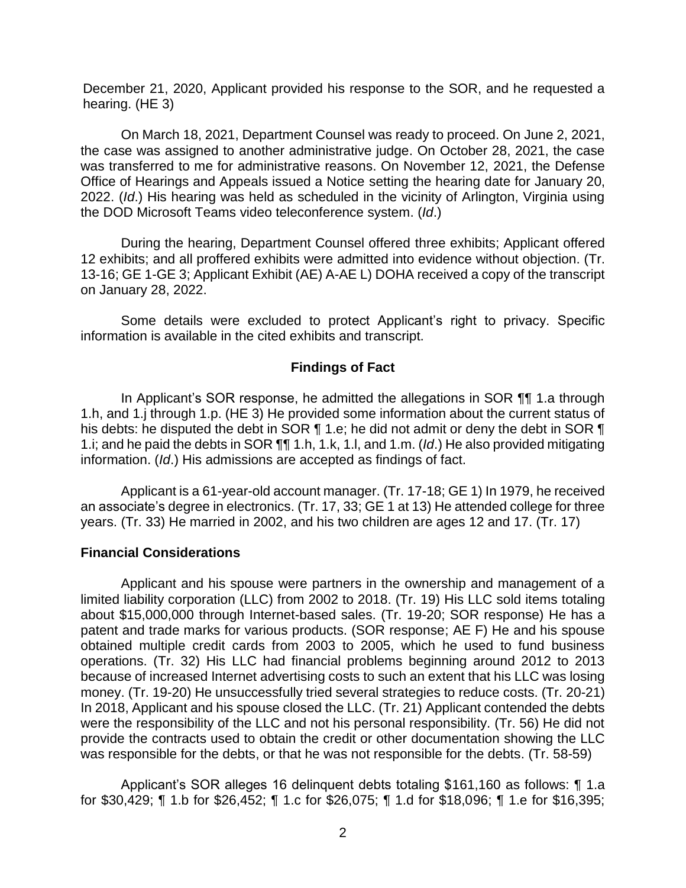December 21, 2020, Applicant provided his response to the SOR, and he requested a hearing. (HE 3)

 On March 18, 2021, Department Counsel was ready to proceed. On June 2, 2021, the case was assigned to another administrative judge. On October 28, 2021, the case was transferred to me for administrative reasons. On November 12, 2021, the Defense Office of Hearings and Appeals issued a Notice setting the hearing date for January 20, 2022. (*Id*.) His hearing was held as scheduled in the vicinity of Arlington, Virginia using the DOD Microsoft Teams video teleconference system. (*Id*.)

 During the hearing, Department Counsel offered three exhibits; Applicant offered 12 exhibits; and all proffered exhibits were admitted into evidence without objection. (Tr. 13-16; GE 1-GE 3; Applicant Exhibit (AE) A-AE L) DOHA received a copy of the transcript on January 28, 2022.

 Some details were excluded to protect Applicant's right to privacy. Specific information is available in the cited exhibits and transcript.

## **Findings of Fact**

 In Applicant's SOR response, he admitted the allegations in SOR ¶¶ 1.a through 1.h, and 1.j through 1.p. (HE 3) He provided some information about the current status of his debts: he disputed the debt in SOR ¶ 1.e; he did not admit or deny the debt in SOR ¶ 1.i; and he paid the debts in SOR ¶¶ 1.h, 1.k, 1.l, and 1.m. (*Id*.) He also provided mitigating information. (*Id*.) His admissions are accepted as findings of fact.

 Applicant is a 61-year-old account manager. (Tr. 17-18; GE 1) In 1979, he received an associate's degree in electronics. (Tr. 17, 33; GE 1 at 13) He attended college for three years. (Tr. 33) He married in 2002, and his two children are ages 12 and 17. (Tr. 17)

## **Financial Considerations**

 Applicant and his spouse were partners in the ownership and management of a limited liability corporation (LLC) from 2002 to 2018. (Tr. 19) His LLC sold items totaling about \$15,000,000 through Internet-based sales. (Tr. 19-20; SOR response) He has a patent and trade marks for various products. (SOR response; AE F) He and his spouse obtained multiple credit cards from 2003 to 2005, which he used to fund business operations. (Tr. 32) His LLC had financial problems beginning around 2012 to 2013 because of increased Internet advertising costs to such an extent that his LLC was losing money. (Tr. 19-20) He unsuccessfully tried several strategies to reduce costs. (Tr. 20-21) In 2018, Applicant and his spouse closed the LLC. (Tr. 21) Applicant contended the debts were the responsibility of the LLC and not his personal responsibility. (Tr. 56) He did not provide the contracts used to obtain the credit or other documentation showing the LLC was responsible for the debts, or that he was not responsible for the debts. (Tr. 58-59)

 Applicant's SOR alleges 16 delinquent debts totaling \$161,160 as follows: ¶ 1.a for \$30,429; ¶ 1.b for \$26,452; ¶ 1.c for \$26,075; ¶ 1.d for \$18,096; ¶ 1.e for \$16,395;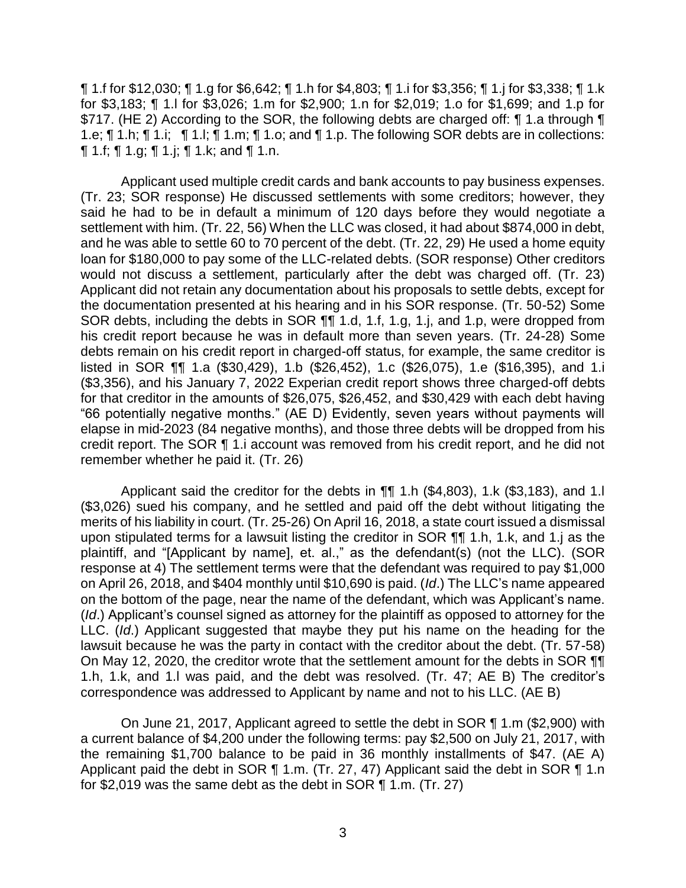¶ 1.f for \$12,030; ¶ 1.g for \$6,642; ¶ 1.h for \$4,803; ¶ 1.i for \$3,356; ¶ 1.j for \$3,338; ¶ 1.k for \$3,183; ¶ 1.l for \$3,026; 1.m for \$2,900; 1.n for \$2,019; 1.o for \$1,699; and 1.p for \$717. (HE 2) According to the SOR, the following debts are charged off: ¶ 1.a through ¶ 1.e; ¶ 1.h; ¶ 1.i; ¶ 1.l; ¶ 1.m; ¶ 1.o; and ¶ 1.p. The following SOR debts are in collections: ¶ 1.f; ¶ 1.g; ¶ 1.j; ¶ 1.k; and ¶ 1.n.

 Applicant used multiple credit cards and bank accounts to pay business expenses. (Tr. 23; SOR response) He discussed settlements with some creditors; however, they said he had to be in default a minimum of 120 days before they would negotiate a settlement with him. (Tr. 22, 56) When the LLC was closed, it had about \$874,000 in debt, and he was able to settle 60 to 70 percent of the debt. (Tr. 22, 29) He used a home equity loan for \$180,000 to pay some of the LLC-related debts. (SOR response) Other creditors Applicant did not retain any documentation about his proposals to settle debts, except for the documentation presented at his hearing and in his SOR response. (Tr. 50-52) Some SOR debts, including the debts in SOR  $\P\P$  1.d, 1.f, 1.g, 1.j, and 1.p, were dropped from his credit report because he was in default more than seven years. (Tr. 24-28) Some debts remain on his credit report in charged-off status, for example, the same creditor is listed in SOR ¶¶ 1.a (\$30,429), 1.b (\$26,452), 1.c (\$26,075), 1.e (\$16,395), and 1.i (\$3,356), and his January 7, 2022 Experian credit report shows three charged-off debts for that creditor in the amounts of \$26,075, \$26,452, and \$30,429 with each debt having "66 potentially negative months." (AE D) Evidently, seven years without payments will elapse in mid-2023 (84 negative months), and those three debts will be dropped from his credit report. The SOR ¶ 1.i account was removed from his credit report, and he did not would not discuss a settlement, particularly after the debt was charged off. (Tr. 23) remember whether he paid it. (Tr. 26)

Applicant said the creditor for the debts in  $\P$  1.h (\$4,803), 1.k (\$3,183), and 1.l (\$3,026) sued his company, and he settled and paid off the debt without litigating the merits of his liability in court. (Tr. 25-26) On April 16, 2018, a state court issued a dismissal upon stipulated terms for a lawsuit listing the creditor in SOR ¶¶ 1.h, 1.k, and 1.j as the plaintiff, and "[Applicant by name], et. al.," as the defendant(s) (not the LLC). (SOR response at 4) The settlement terms were that the defendant was required to pay \$1,000 on April 26, 2018, and \$404 monthly until \$10,690 is paid. (*Id*.) The LLC's name appeared on the bottom of the page, near the name of the defendant, which was Applicant's name. (*Id*.) Applicant's counsel signed as attorney for the plaintiff as opposed to attorney for the LLC. (*Id*.) Applicant suggested that maybe they put his name on the heading for the lawsuit because he was the party in contact with the creditor about the debt. (Tr. 57-58) On May 12, 2020, the creditor wrote that the settlement amount for the debts in SOR ¶¶ 1.h, 1.k, and 1.l was paid, and the debt was resolved. (Tr. 47; AE B) The creditor's correspondence was addressed to Applicant by name and not to his LLC. (AE B)

 a current balance of \$4,200 under the following terms: pay \$2,500 on July 21, 2017, with the remaining \$1,700 balance to be paid in 36 monthly installments of \$47. (AE A) Applicant paid the debt in SOR ¶ 1.m. (Tr. 27, 47) Applicant said the debt in SOR ¶ 1.n On June 21, 2017, Applicant agreed to settle the debt in SOR ¶ 1.m (\$2,900) with for \$2,019 was the same debt as the debt in SOR ¶ 1.m. (Tr. 27)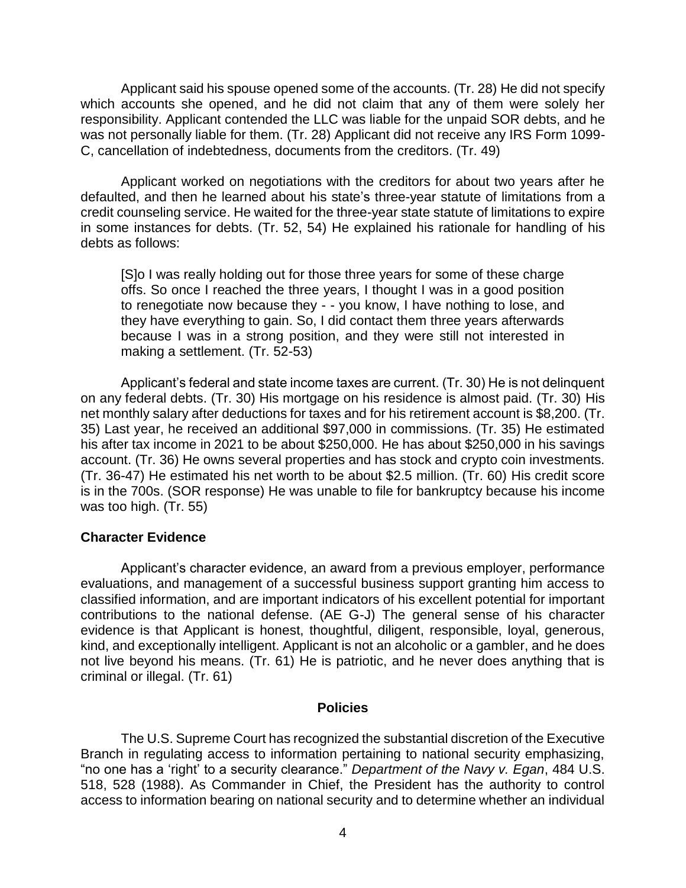Applicant said his spouse opened some of the accounts. (Tr. 28) He did not specify which accounts she opened, and he did not claim that any of them were solely her responsibility. Applicant contended the LLC was liable for the unpaid SOR debts, and he was not personally liable for them. (Tr. 28) Applicant did not receive any IRS Form 1099- C, cancellation of indebtedness, documents from the creditors. (Tr. 49)

 Applicant worked on negotiations with the creditors for about two years after he defaulted, and then he learned about his state's three-year statute of limitations from a credit counseling service. He waited for the three-year state statute of limitations to expire in some instances for debts. (Tr. 52, 54) He explained his rationale for handling of his debts as follows:

[S]o I was really holding out for those three years for some of these charge offs. So once I reached the three years, I thought I was in a good position to renegotiate now because they - - you know, I have nothing to lose, and they have everything to gain. So, I did contact them three years afterwards because I was in a strong position, and they were still not interested in making a settlement. (Tr. 52-53)

Applicant's federal and state income taxes are current. (Tr. 30) He is not delinquent on any federal debts. (Tr. 30) His mortgage on his residence is almost paid. (Tr. 30) His net monthly salary after deductions for taxes and for his retirement account is \$8,200. (Tr. 35) Last year, he received an additional \$97,000 in commissions. (Tr. 35) He estimated his after tax income in 2021 to be about \$250,000. He has about \$250,000 in his savings account. (Tr. 36) He owns several properties and has stock and crypto coin investments. (Tr. 36-47) He estimated his net worth to be about \$2.5 million. (Tr. 60) His credit score is in the 700s. (SOR response) He was unable to file for bankruptcy because his income was too high. (Tr. 55)

### **Character Evidence**

 evaluations, and management of a successful business support granting him access to contributions to the national defense. (AE G-J) The general sense of his character kind, and exceptionally intelligent. Applicant is not an alcoholic or a gambler, and he does not live beyond his means. (Tr. 61) He is patriotic, and he never does anything that is Applicant's character evidence, an award from a previous employer, performance classified information, and are important indicators of his excellent potential for important evidence is that Applicant is honest, thoughtful, diligent, responsible, loyal, generous, criminal or illegal. (Tr. 61)

#### **Policies**

 The U.S. Supreme Court has recognized the substantial discretion of the Executive Branch in regulating access to information pertaining to national security emphasizing, "no one has a 'right' to a security clearance." *Department of the Navy v. Egan*, 484 U.S. 518, 528 (1988). As Commander in Chief, the President has the authority to control access to information bearing on national security and to determine whether an individual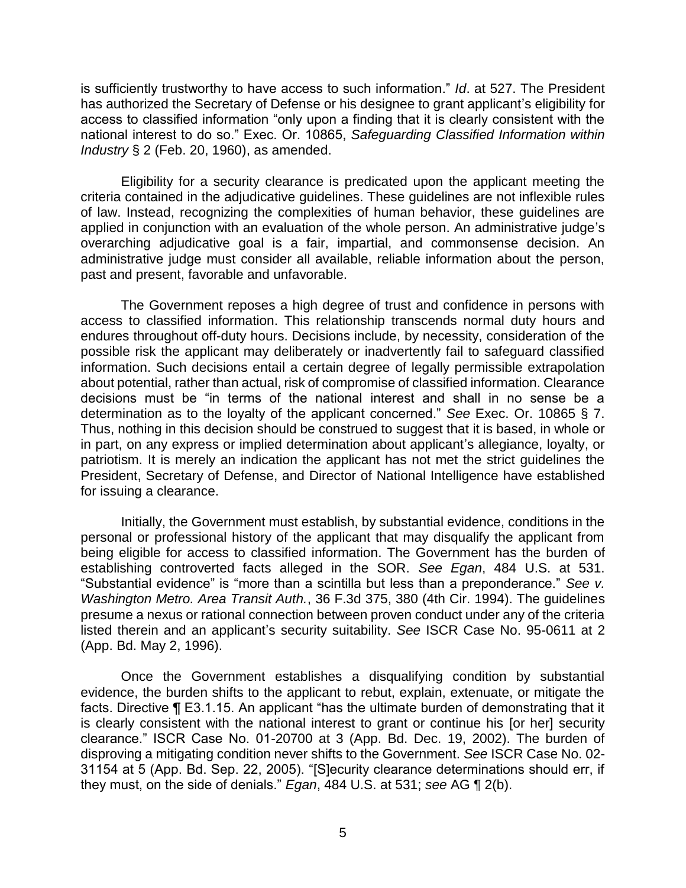is sufficiently trustworthy to have access to such information." *Id*. at 527. The President has authorized the Secretary of Defense or his designee to grant applicant's eligibility for access to classified information "only upon a finding that it is clearly consistent with the national interest to do so." Exec. Or. 10865, *Safeguarding Classified Information within Industry* § 2 (Feb. 20, 1960), as amended.

 Eligibility for a security clearance is predicated upon the applicant meeting the criteria contained in the adjudicative guidelines. These guidelines are not inflexible rules of law. Instead, recognizing the complexities of human behavior, these guidelines are applied in conjunction with an evaluation of the whole person. An administrative judge's overarching adjudicative goal is a fair, impartial, and commonsense decision. An administrative judge must consider all available, reliable information about the person, past and present, favorable and unfavorable.

 The Government reposes a high degree of trust and confidence in persons with access to classified information. This relationship transcends normal duty hours and endures throughout off-duty hours. Decisions include, by necessity, consideration of the possible risk the applicant may deliberately or inadvertently fail to safeguard classified information. Such decisions entail a certain degree of legally permissible extrapolation about potential, rather than actual, risk of compromise of classified information. Clearance decisions must be "in terms of the national interest and shall in no sense be a determination as to the loyalty of the applicant concerned." *See* Exec. Or. 10865 § 7. Thus, nothing in this decision should be construed to suggest that it is based, in whole or in part, on any express or implied determination about applicant's allegiance, loyalty, or patriotism. It is merely an indication the applicant has not met the strict guidelines the President, Secretary of Defense, and Director of National Intelligence have established for issuing a clearance.

 Initially, the Government must establish, by substantial evidence, conditions in the personal or professional history of the applicant that may disqualify the applicant from being eligible for access to classified information. The Government has the burden of establishing controverted facts alleged in the SOR. *See Egan*, 484 U.S. at 531. "Substantial evidence" is "more than a scintilla but less than a preponderance." *See v. Washington Metro. Area Transit Auth.*, 36 F.3d 375, 380 (4th Cir. 1994). The guidelines presume a nexus or rational connection between proven conduct under any of the criteria listed therein and an applicant's security suitability. *See* ISCR Case No. 95-0611 at 2 (App. Bd. May 2, 1996).

Once the Government establishes a disqualifying condition by substantial evidence, the burden shifts to the applicant to rebut, explain, extenuate, or mitigate the facts. Directive ¶ E3.1.15. An applicant "has the ultimate burden of demonstrating that it is clearly consistent with the national interest to grant or continue his [or her] security clearance." ISCR Case No. 01-20700 at 3 (App. Bd. Dec. 19, 2002). The burden of disproving a mitigating condition never shifts to the Government. *See* ISCR Case No. 02- 31154 at 5 (App. Bd. Sep. 22, 2005). "[S]ecurity clearance determinations should err, if they must, on the side of denials." *Egan*, 484 U.S. at 531; *see* AG ¶ 2(b).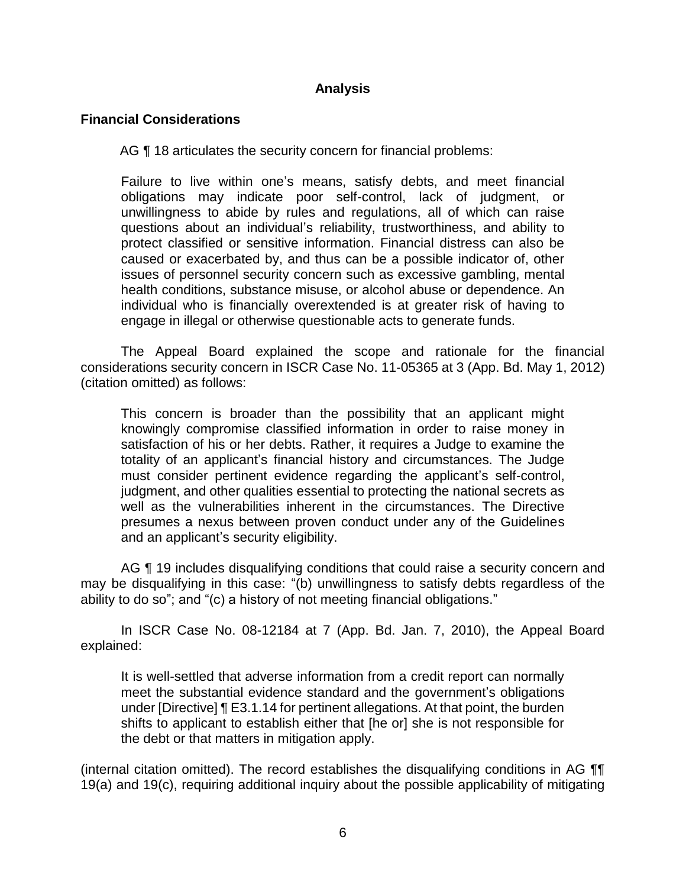## **Analysis**

## **Financial Considerations**

AG ¶ 18 articulates the security concern for financial problems:

 Failure to live within one's means, satisfy debts, and meet financial obligations may indicate poor self-control, lack of judgment, or unwillingness to abide by rules and regulations, all of which can raise questions about an individual's reliability, trustworthiness, and ability to protect classified or sensitive information. Financial distress can also be caused or exacerbated by, and thus can be a possible indicator of, other issues of personnel security concern such as excessive gambling, mental engage in illegal or otherwise questionable acts to generate funds. health conditions, substance misuse, or alcohol abuse or dependence. An individual who is financially overextended is at greater risk of having to

The Appeal Board explained the scope and rationale for the financial considerations security concern in ISCR Case No. 11-05365 at 3 (App. Bd. May 1, 2012) (citation omitted) as follows:

This concern is broader than the possibility that an applicant might knowingly compromise classified information in order to raise money in satisfaction of his or her debts. Rather, it requires a Judge to examine the totality of an applicant's financial history and circumstances. The Judge must consider pertinent evidence regarding the applicant's self-control, judgment, and other qualities essential to protecting the national secrets as well as the vulnerabilities inherent in the circumstances. The Directive presumes a nexus between proven conduct under any of the Guidelines and an applicant's security eligibility.

AG ¶ 19 includes disqualifying conditions that could raise a security concern and may be disqualifying in this case: "(b) unwillingness to satisfy debts regardless of the ability to do so"; and "(c) a history of not meeting financial obligations."

 In ISCR Case No. 08-12184 at 7 (App. Bd. Jan. 7, 2010), the Appeal Board explained:

It is well-settled that adverse information from a credit report can normally meet the substantial evidence standard and the government's obligations under [Directive] ¶ E3.1.14 for pertinent allegations. At that point, the burden shifts to applicant to establish either that [he or] she is not responsible for the debt or that matters in mitigation apply.

 19(a) and 19(c), requiring additional inquiry about the possible applicability of mitigating (internal citation omitted). The record establishes the disqualifying conditions in AG ¶¶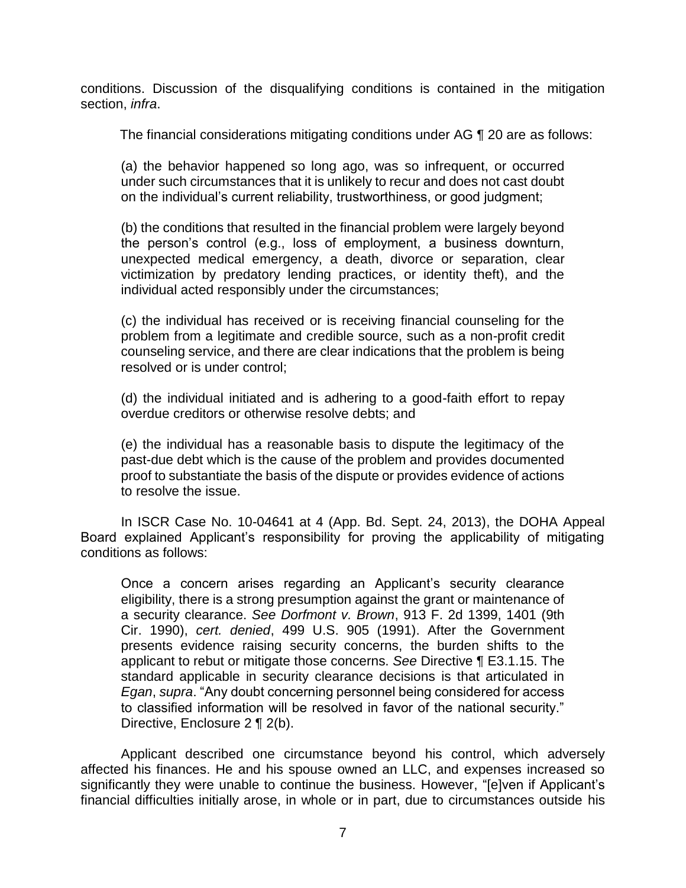conditions. Discussion of the disqualifying conditions is contained in the mitigation section, *infra*.

The financial considerations mitigating conditions under AG ¶ 20 are as follows:

(a) the behavior happened so long ago, was so infrequent, or occurred under such circumstances that it is unlikely to recur and does not cast doubt on the individual's current reliability, trustworthiness, or good judgment;

(b) the conditions that resulted in the financial problem were largely beyond the person's control (e.g., loss of employment, a business downturn, unexpected medical emergency, a death, divorce or separation, clear victimization by predatory lending practices, or identity theft), and the individual acted responsibly under the circumstances;

(c) the individual has received or is receiving financial counseling for the problem from a legitimate and credible source, such as a non-profit credit counseling service, and there are clear indications that the problem is being resolved or is under control;

(d) the individual initiated and is adhering to a good-faith effort to repay overdue creditors or otherwise resolve debts; and

(e) the individual has a reasonable basis to dispute the legitimacy of the past-due debt which is the cause of the problem and provides documented proof to substantiate the basis of the dispute or provides evidence of actions to resolve the issue.

In ISCR Case No. 10-04641 at 4 (App. Bd. Sept. 24, 2013), the DOHA Appeal Board explained Applicant's responsibility for proving the applicability of mitigating conditions as follows:

Once a concern arises regarding an Applicant's security clearance eligibility, there is a strong presumption against the grant or maintenance of a security clearance. *See Dorfmont v. Brown*, 913 F. 2d 1399, 1401 (9th Cir. 1990), *cert. denied*, 499 U.S. 905 (1991). After the Government presents evidence raising security concerns, the burden shifts to the applicant to rebut or mitigate those concerns. *See* Directive ¶ E3.1.15. The standard applicable in security clearance decisions is that articulated in *Egan*, *supra*. "Any doubt concerning personnel being considered for access to classified information will be resolved in favor of the national security." Directive, Enclosure 2 ¶ 2(b).

 Applicant described one circumstance beyond his control, which adversely affected his finances. He and his spouse owned an LLC, and expenses increased so significantly they were unable to continue the business. However, "[e]ven if Applicant's financial difficulties initially arose, in whole or in part, due to circumstances outside his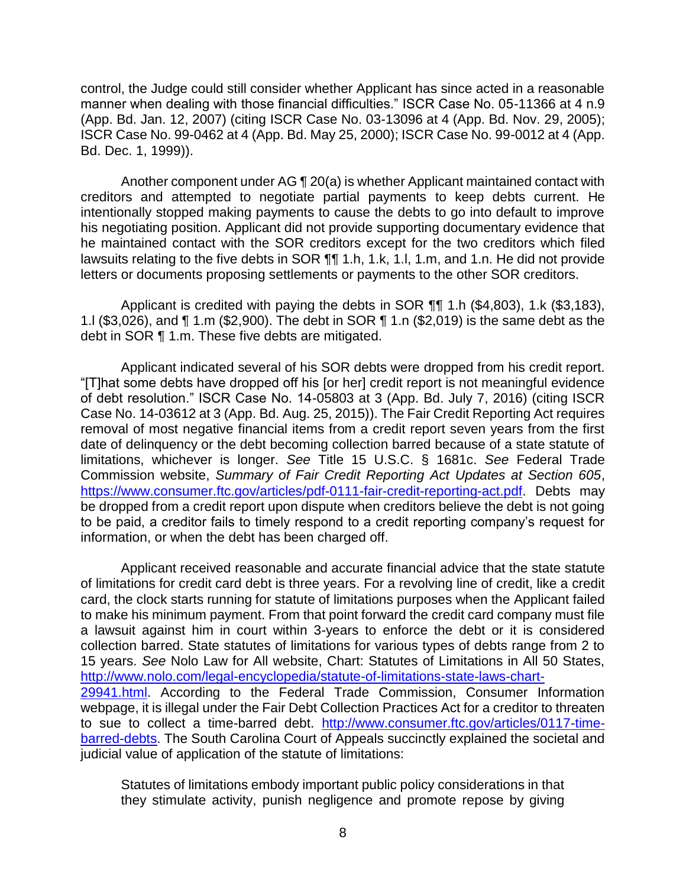manner when dealing with those financial difficulties." ISCR Case No. 05-11366 at 4 n.9 (App. Bd. Jan. 12, 2007) (citing ISCR Case No. 03-13096 at 4 (App. Bd. Nov. 29, 2005); ISCR Case No. 99-0462 at 4 (App. Bd. May 25, 2000); ISCR Case No. 99-0012 at 4 (App. control, the Judge could still consider whether Applicant has since acted in a reasonable Bd. Dec. 1, 1999)).

 Another component under AG ¶ 20(a) is whether Applicant maintained contact with creditors and attempted to negotiate partial payments to keep debts current. He intentionally stopped making payments to cause the debts to go into default to improve his negotiating position. Applicant did not provide supporting documentary evidence that he maintained contact with the SOR creditors except for the two creditors which filed lawsuits relating to the five debts in SOR  $\P\P$  1.h, 1.k, 1.l, 1.m, and 1.n. He did not provide letters or documents proposing settlements or payments to the other SOR creditors.

Applicant is credited with paying the debts in SOR ¶¶ 1.h (\$4,803), 1.k (\$3,183), 1.l (\$3,026), and ¶ 1.m (\$2,900). The debt in SOR ¶ 1.n (\$2,019) is the same debt as the debt in SOR ¶ 1.m. These five debts are mitigated.

 Applicant indicated several of his SOR debts were dropped from his credit report. "[T]hat some debts have dropped off his [or her] credit report is not meaningful evidence of debt resolution." ISCR Case No. 14-05803 at 3 (App. Bd. July 7, 2016) (citing ISCR Case No. 14-03612 at 3 (App. Bd. Aug. 25, 2015)). The Fair Credit Reporting Act requires removal of most negative financial items from a credit report seven years from the first date of delinquency or the debt becoming collection barred because of a state statute of limitations, whichever is longer. *See* Title 15 U.S.C. § 1681c. *See* Federal Trade be dropped from a credit report upon dispute when creditors believe the debt is not going to be paid, a creditor fails to timely respond to a credit reporting company's request for Commission website, *Summary of Fair Credit Reporting Act Updates at Section 605*, <https://www.consumer.ftc.gov/articles/pdf-0111-fair-credit-reporting-act.pdf>. Debts may information, or when the debt has been charged off.

 Applicant received reasonable and accurate financial advice that the state statute of limitations for credit card debt is three years. For a revolving line of credit, like a credit card, the clock starts running for statute of limitations purposes when the Applicant failed to make his minimum payment. From that point forward the credit card company must file a lawsuit against him in court within 3-years to enforce the debt or it is considered collection barred. State statutes of limitations for various types of debts range from 2 to 15 years. *See* Nolo Law for All website, Chart: Statutes of Limitations in All 50 States, 29941.html. According to the Federal Trade Commission, Consumer Information webpage, it is illegal under the Fair Debt Collection Practices Act for a creditor to threaten to sue to collect a time-barred debt. [http://www.consumer.ftc.gov/articles/0117-time](http://www.consumer.ftc.gov/articles/0117-time-barred-debts)- judicial value of application of the statute of limitations: [http://www.nolo.com/legal-encyclopedia/statute-of-limitations-state-laws-chart](http://www.nolo.com/legal-encyclopedia/statute-of-limitations-state-laws-chart-29941.html)barred-debts. The South Carolina Court of Appeals succinctly explained the societal and

Statutes of limitations embody important public policy considerations in that they stimulate activity, punish negligence and promote repose by giving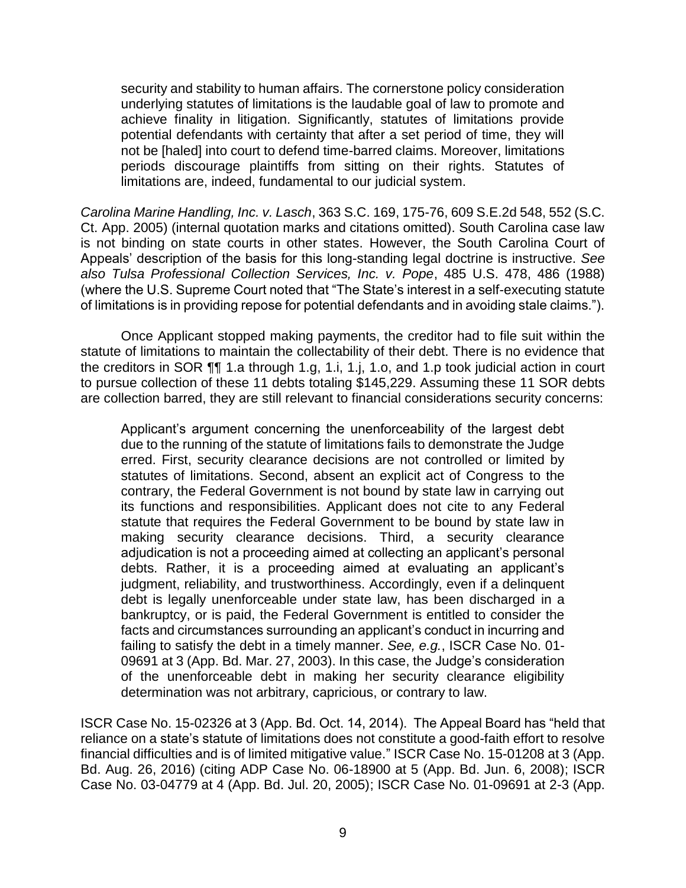security and stability to human affairs. The cornerstone policy consideration achieve finality in litigation. Significantly, statutes of limitations provide potential defendants with certainty that after a set period of time, they will not be [haled] into court to defend time-barred claims. Moreover, limitations periods discourage plaintiffs from sitting on their rights. Statutes of underlying statutes of limitations is the laudable goal of law to promote and limitations are, indeed, fundamental to our judicial system.

 *Carolina Marine Handling, Inc. v. Lasch*, 363 S.C. 169, 175-76, 609 S.E.2d 548, 552 (S.C. Ct. App. 2005) (internal quotation marks and citations omitted). South Carolina case law is not binding on state courts in other states. However, the South Carolina Court of Appeals' description of the basis for this long-standing legal doctrine is instructive. *See also Tulsa Professional Collection Services, Inc. v. Pope*, 485 U.S. 478, 486 (1988) (where the U.S. Supreme Court noted that "The State's interest in a self-executing statute of limitations is in providing repose for potential defendants and in avoiding stale claims.").

 Once Applicant stopped making payments, the creditor had to file suit within the statute of limitations to maintain the collectability of their debt. There is no evidence that the creditors in SOR ¶¶ 1.a through 1.g, 1.i, 1.j, 1.o, and 1.p took judicial action in court to pursue collection of these 11 debts totaling \$145,229. Assuming these 11 SOR debts are collection barred, they are still relevant to financial considerations security concerns:

Applicant's argument concerning the unenforceability of the largest debt due to the running of the statute of limitations fails to demonstrate the Judge erred. First, security clearance decisions are not controlled or limited by statutes of limitations. Second, absent an explicit act of Congress to the contrary, the Federal Government is not bound by state law in carrying out its functions and responsibilities. Applicant does not cite to any Federal statute that requires the Federal Government to be bound by state law in making security clearance decisions. Third, a security clearance adjudication is not a proceeding aimed at collecting an applicant's personal debts. Rather, it is a proceeding aimed at evaluating an applicant's judgment, reliability, and trustworthiness. Accordingly, even if a delinquent debt is legally unenforceable under state law, has been discharged in a bankruptcy, or is paid, the Federal Government is entitled to consider the facts and circumstances surrounding an applicant's conduct in incurring and failing to satisfy the debt in a timely manner. *See, e.g.*, ISCR Case No. 01- 09691 at 3 (App. Bd. Mar. 27, 2003). In this case, the Judge's consideration of the unenforceable debt in making her security clearance eligibility determination was not arbitrary, capricious, or contrary to law.

 ISCR Case No. 15-02326 at 3 (App. Bd. Oct. 14, 2014). The Appeal Board has "held that reliance on a state's statute of limitations does not constitute a good-faith effort to resolve financial difficulties and is of limited mitigative value." ISCR Case No. 15-01208 at 3 (App. Bd. Aug. 26, 2016) (citing ADP Case No. 06-18900 at 5 (App. Bd. Jun. 6, 2008); ISCR Case No. 03-04779 at 4 (App. Bd. Jul. 20, 2005); ISCR Case No. 01-09691 at 2-3 (App.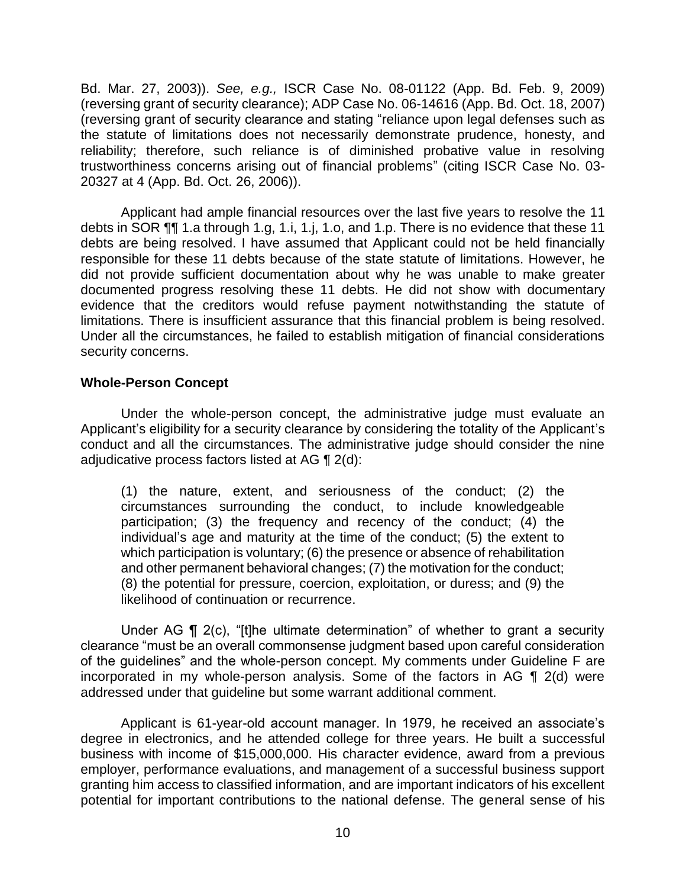Bd. Mar. 27, 2003)). *See, e.g.,* ISCR Case No. 08-01122 (App. Bd. Feb. 9, 2009) (reversing grant of security clearance); ADP Case No. 06-14616 (App. Bd. Oct. 18, 2007) (reversing grant of security clearance and stating "reliance upon legal defenses such as the statute of limitations does not necessarily demonstrate prudence, honesty, and reliability; therefore, such reliance is of diminished probative value in resolving trustworthiness concerns arising out of financial problems" (citing ISCR Case No. 03- 20327 at 4 (App. Bd. Oct. 26, 2006)).

 Applicant had ample financial resources over the last five years to resolve the 11 debts in SOR  $\P$ ¶ 1.a through 1.g, 1.i, 1.j, 1.o, and 1.p. There is no evidence that these 11 debts are being resolved. I have assumed that Applicant could not be held financially responsible for these 11 debts because of the state statute of limitations. However, he did not provide sufficient documentation about why he was unable to make greater documented progress resolving these 11 debts. He did not show with documentary evidence that the creditors would refuse payment notwithstanding the statute of limitations. There is insufficient assurance that this financial problem is being resolved. Under all the circumstances, he failed to establish mitigation of financial considerations security concerns.

## **Whole-Person Concept**

 Under the whole-person concept, the administrative judge must evaluate an conduct and all the circumstances. The administrative judge should consider the nine adjudicative process factors listed at AG ¶ 2(d): Applicant's eligibility for a security clearance by considering the totality of the Applicant's

(1) the nature, extent, and seriousness of the conduct; (2) the circumstances surrounding the conduct, to include knowledgeable participation; (3) the frequency and recency of the conduct; (4) the individual's age and maturity at the time of the conduct; (5) the extent to which participation is voluntary; (6) the presence or absence of rehabilitation and other permanent behavioral changes; (7) the motivation for the conduct; (8) the potential for pressure, coercion, exploitation, or duress; and (9) the likelihood of continuation or recurrence.

 clearance "must be an overall commonsense judgment based upon careful consideration of the guidelines" and the whole-person concept. My comments under Guideline F are incorporated in my whole-person analysis. Some of the factors in AG ¶ 2(d) were Under AG ¶ 2(c), "[t]he ultimate determination" of whether to grant a security addressed under that guideline but some warrant additional comment.

 Applicant is 61-year-old account manager. In 1979, he received an associate's degree in electronics, and he attended college for three years. He built a successful business with income of \$15,000,000. His character evidence, award from a previous employer, performance evaluations, and management of a successful business support granting him access to classified information, and are important indicators of his excellent potential for important contributions to the national defense. The general sense of his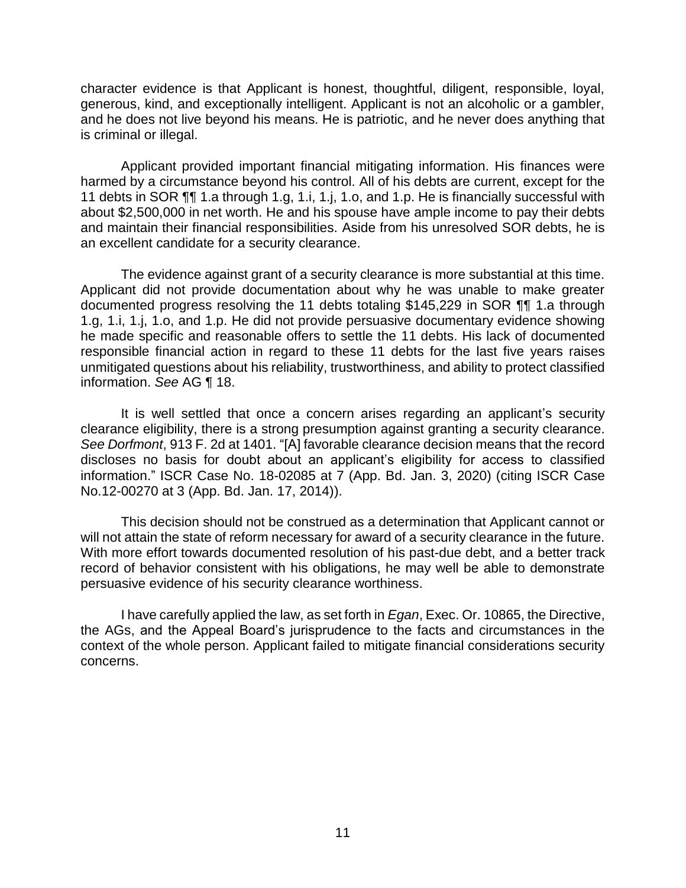character evidence is that Applicant is honest, thoughtful, diligent, responsible, loyal, generous, kind, and exceptionally intelligent. Applicant is not an alcoholic or a gambler, and he does not live beyond his means. He is patriotic, and he never does anything that is criminal or illegal.

 harmed by a circumstance beyond his control. All of his debts are current, except for the 11 debts in SOR ¶¶ 1.a through 1.g, 1.i, 1.j, 1.o, and 1.p. He is financially successful with and maintain their financial responsibilities. Aside from his unresolved SOR debts, he is Applicant provided important financial mitigating information. His finances were about \$2,500,000 in net worth. He and his spouse have ample income to pay their debts an excellent candidate for a security clearance.

 The evidence against grant of a security clearance is more substantial at this time. Applicant did not provide documentation about why he was unable to make greater documented progress resolving the 11 debts totaling \$145,229 in SOR ¶¶ 1.a through 1.g, 1.i, 1.j, 1.o, and 1.p. He did not provide persuasive documentary evidence showing he made specific and reasonable offers to settle the 11 debts. His lack of documented responsible financial action in regard to these 11 debts for the last five years raises unmitigated questions about his reliability, trustworthiness, and ability to protect classified information. *See* AG ¶ 18.

 It is well settled that once a concern arises regarding an applicant's security clearance eligibility, there is a strong presumption against granting a security clearance. *See Dorfmont*, 913 F. 2d at 1401. "[A] favorable clearance decision means that the record discloses no basis for doubt about an applicant's eligibility for access to classified information." ISCR Case No. 18-02085 at 7 (App. Bd. Jan. 3, 2020) (citing ISCR Case No.12-00270 at 3 (App. Bd. Jan. 17, 2014)).

 This decision should not be construed as a determination that Applicant cannot or will not attain the state of reform necessary for award of a security clearance in the future. With more effort towards documented resolution of his past-due debt, and a better track record of behavior consistent with his obligations, he may well be able to demonstrate persuasive evidence of his security clearance worthiness.

 I have carefully applied the law, as set forth in *Egan*, Exec. Or. 10865, the Directive, the AGs, and the Appeal Board's jurisprudence to the facts and circumstances in the context of the whole person. Applicant failed to mitigate financial considerations security concerns. concerns.<br>
11<br>
11